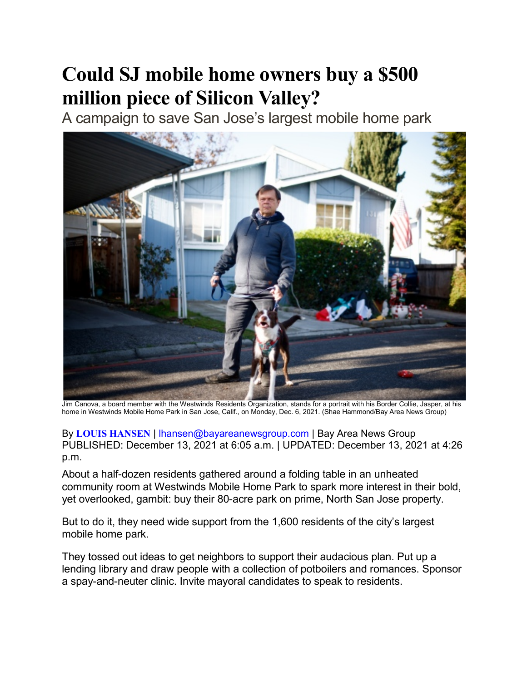## Could SJ mobile home owners buy a \$500 million piece of Silicon Valley?

A campaign to save San Jose's largest mobile home park



Jim Canova, a board member with the Westwinds Residents Organization, stands for a portrait with his Border Collie, Jasper, at his home in Westwinds Mobile Home Park in San Jose, Calif., on Monday, Dec. 6, 2021. (Shae Hammond/Bay Area News Group)

By LOUIS HANSEN | lhansen@bayareanewsgroup.com | Bay Area News Group PUBLISHED: December 13, 2021 at 6:05 a.m. | UPDATED: December 13, 2021 at 4:26 p.m.

About a half-dozen residents gathered around a folding table in an unheated community room at Westwinds Mobile Home Park to spark more interest in their bold, yet overlooked, gambit: buy their 80-acre park on prime, North San Jose property.

But to do it, they need wide support from the 1,600 residents of the city's largest mobile home park.

They tossed out ideas to get neighbors to support their audacious plan. Put up a lending library and draw people with a collection of potboilers and romances. Sponsor a spay-and-neuter clinic. Invite mayoral candidates to speak to residents.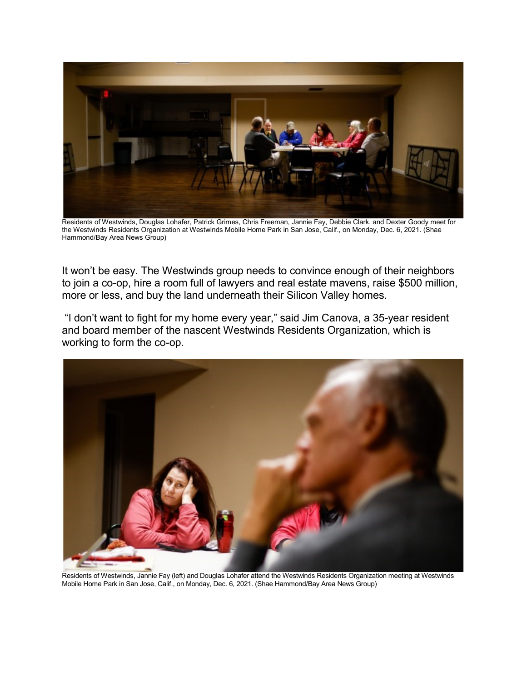

Residents of Westwinds, Douglas Lohafer, Patrick Grimes, Chris Freeman, Jannie Fay, Debbie Clark, and Dexter Goody meet for the Westwinds Residents Organization at Westwinds Mobile Home Park in San Jose, Calif., on Monday, Dec. 6, 2021. (Shae Hammond/Bay Area News Group)

It won't be easy. The Westwinds group needs to convince enough of their neighbors to join a co-op, hire a room full of lawyers and real estate mavens, raise \$500 million, more or less, and buy the land underneath their Silicon Valley homes.

 "I don't want to fight for my home every year," said Jim Canova, a 35-year resident and board member of the nascent Westwinds Residents Organization, which is working to form the co-op.



Residents of Westwinds, Jannie Fay (left) and Douglas Lohafer attend the Westwinds Residents Organization meeting at Westwinds Mobile Home Park in San Jose, Calif., on Monday, Dec. 6, 2021. (Shae Hammond/Bay Area News Group)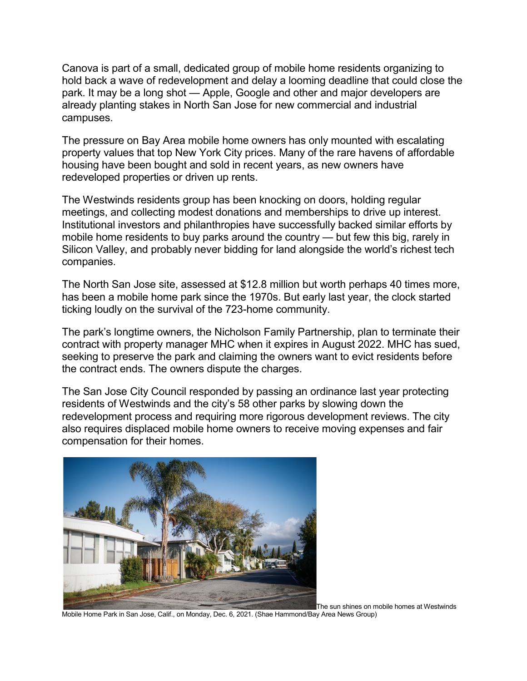Canova is part of a small, dedicated group of mobile home residents organizing to hold back a wave of redevelopment and delay a looming deadline that could close the park. It may be a long shot — Apple, Google and other and major developers are already planting stakes in North San Jose for new commercial and industrial campuses.

The pressure on Bay Area mobile home owners has only mounted with escalating property values that top New York City prices. Many of the rare havens of affordable housing have been bought and sold in recent years, as new owners have redeveloped properties or driven up rents.

The Westwinds residents group has been knocking on doors, holding regular meetings, and collecting modest donations and memberships to drive up interest. Institutional investors and philanthropies have successfully backed similar efforts by mobile home residents to buy parks around the country — but few this big, rarely in Silicon Valley, and probably never bidding for land alongside the world's richest tech companies.

The North San Jose site, assessed at \$12.8 million but worth perhaps 40 times more, has been a mobile home park since the 1970s. But early last year, the clock started ticking loudly on the survival of the 723-home community.

The park's longtime owners, the Nicholson Family Partnership, plan to terminate their contract with property manager MHC when it expires in August 2022. MHC has sued, seeking to preserve the park and claiming the owners want to evict residents before the contract ends. The owners dispute the charges.

The San Jose City Council responded by passing an ordinance last year protecting residents of Westwinds and the city's 58 other parks by slowing down the redevelopment process and requiring more rigorous development reviews. The city also requires displaced mobile home owners to receive moving expenses and fair compensation for their homes.



The sun shines on mobile homes at Westwinds

Mobile Home Park in San Jose, Calif., on Monday, Dec. 6, 2021. (Shae Hammond/Bay Area News Group)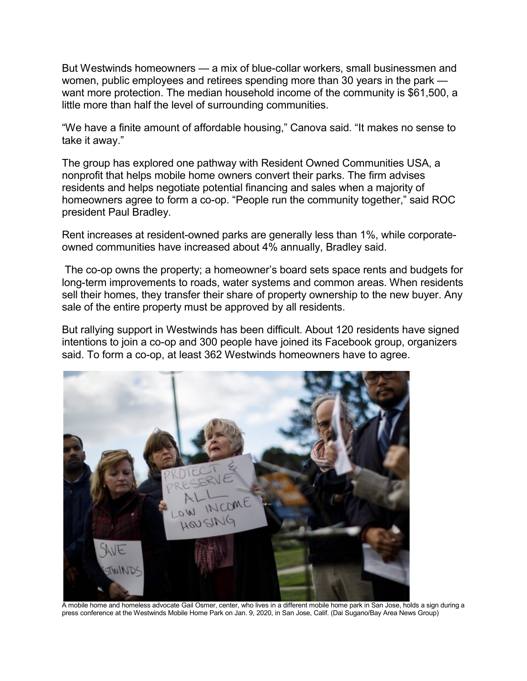But Westwinds homeowners — a mix of blue-collar workers, small businessmen and women, public employees and retirees spending more than 30 years in the park want more protection. The median household income of the community is \$61,500, a little more than half the level of surrounding communities.

"We have a finite amount of affordable housing," Canova said. "It makes no sense to take it away."

The group has explored one pathway with Resident Owned Communities USA, a nonprofit that helps mobile home owners convert their parks. The firm advises residents and helps negotiate potential financing and sales when a majority of homeowners agree to form a co-op. "People run the community together," said ROC president Paul Bradley.

Rent increases at resident-owned parks are generally less than 1%, while corporateowned communities have increased about 4% annually, Bradley said.

 The co-op owns the property; a homeowner's board sets space rents and budgets for long-term improvements to roads, water systems and common areas. When residents sell their homes, they transfer their share of property ownership to the new buyer. Any sale of the entire property must be approved by all residents.

But rallying support in Westwinds has been difficult. About 120 residents have signed intentions to join a co-op and 300 people have joined its Facebook group, organizers said. To form a co-op, at least 362 Westwinds homeowners have to agree.



A mobile home and homeless advocate Gail Osmer, center, who lives in a different mobile home park in San Jose, holds a sign during a press conference at the Westwinds Mobile Home Park on Jan. 9, 2020, in San Jose, Calif. (Dai Sugano/Bay Area News Group)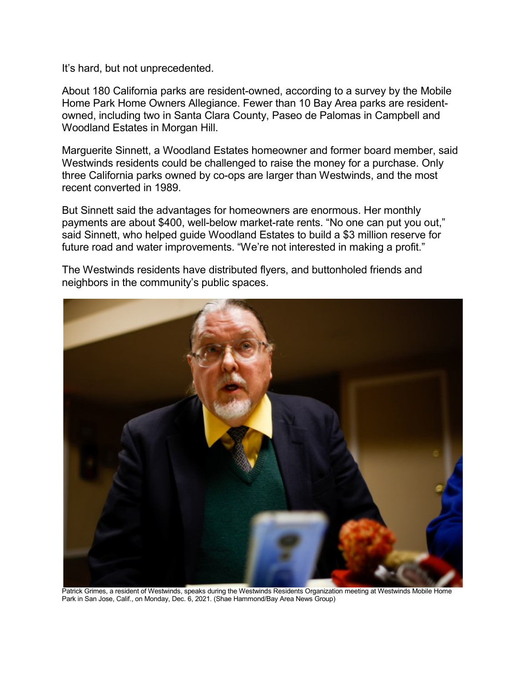It's hard, but not unprecedented.

About 180 California parks are resident-owned, according to a survey by the Mobile Home Park Home Owners Allegiance. Fewer than 10 Bay Area parks are residentowned, including two in Santa Clara County, Paseo de Palomas in Campbell and Woodland Estates in Morgan Hill.

Marguerite Sinnett, a Woodland Estates homeowner and former board member, said Westwinds residents could be challenged to raise the money for a purchase. Only three California parks owned by co-ops are larger than Westwinds, and the most recent converted in 1989.

But Sinnett said the advantages for homeowners are enormous. Her monthly payments are about \$400, well-below market-rate rents. "No one can put you out," said Sinnett, who helped guide Woodland Estates to build a \$3 million reserve for future road and water improvements. "We're not interested in making a profit."

The Westwinds residents have distributed flyers, and buttonholed friends and neighbors in the community's public spaces.



Patrick Grimes, a resident of Westwinds, speaks during the Westwinds Residents Organization meeting at Westwinds Mobile Home Park in San Jose, Calif., on Monday, Dec. 6, 2021. (Shae Hammond/Bay Area News Group)